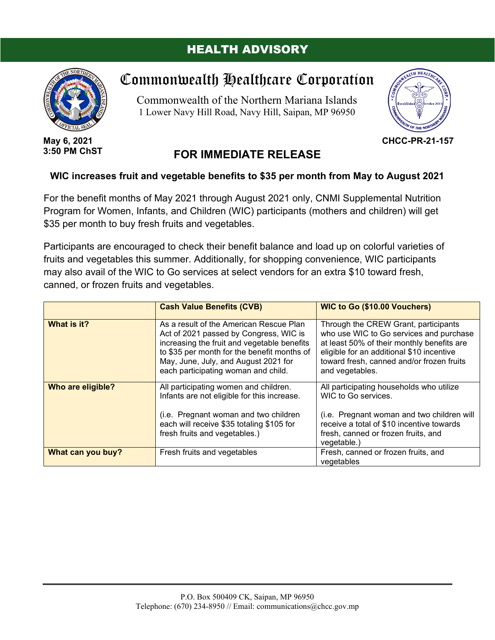## HEALTH ADVISORY



**May 6, 2021 3:50 PM ChST**

## Commonwealth Healthcare Corporation

Commonwealth of the Northern Mariana Islands 1 Lower Navy Hill Road, Navy Hill, Saipan, MP 96950



**CHCC-PR-21-157**

## **FOR IMMEDIATE RELEASE**

## **WIC increases fruit and vegetable benefits to \$35 per month from May to August 2021**

For the benefit months of May 2021 through August 2021 only, CNMI Supplemental Nutrition Program for Women, Infants, and Children (WIC) participants (mothers and children) will get \$35 per month to buy fresh fruits and vegetables.

Participants are encouraged to check their benefit balance and load up on colorful varieties of fruits and vegetables this summer. Additionally, for shopping convenience, WIC participants may also avail of the WIC to Go services at select vendors for an extra \$10 toward fresh, canned, or frozen fruits and vegetables.

|                   | <b>Cash Value Benefits (CVB)</b>                                                                                                                                                                                                                               | <b>WIC to Go (\$10.00 Vouchers)</b>                                                                                                                                                                                                        |
|-------------------|----------------------------------------------------------------------------------------------------------------------------------------------------------------------------------------------------------------------------------------------------------------|--------------------------------------------------------------------------------------------------------------------------------------------------------------------------------------------------------------------------------------------|
| What is it?       | As a result of the American Rescue Plan<br>Act of 2021 passed by Congress, WIC is<br>increasing the fruit and vegetable benefits<br>to \$35 per month for the benefit months of<br>May, June, July, and August 2021 for<br>each participating woman and child. | Through the CREW Grant, participants<br>who use WIC to Go services and purchase<br>at least 50% of their monthly benefits are<br>eligible for an additional \$10 incentive<br>toward fresh, canned and/or frozen fruits<br>and vegetables. |
| Who are eligible? | All participating women and children.<br>Infants are not eligible for this increase.<br>(i.e. Pregnant woman and two children<br>each will receive \$35 totaling \$105 for<br>fresh fruits and vegetables.)                                                    | All participating households who utilize<br>WIC to Go services.<br>(i.e. Pregnant woman and two children will<br>receive a total of \$10 incentive towards<br>fresh, canned or frozen fruits, and<br>vegetable.)                           |
| What can you buy? | Fresh, canned or frozen fruits, and<br>Fresh fruits and vegetables<br>vegetables                                                                                                                                                                               |                                                                                                                                                                                                                                            |